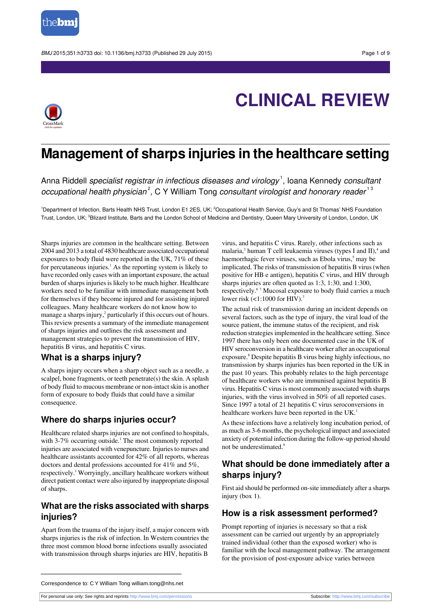



# **CLINICAL REVIEW**

## **Management of sharps injuries in the healthcare setting**

Anna Riddell *specialist registrar in infectious diseases and virology*  $^1$ , Ioana Kennedy *consultan*i occupational health physician<sup>2</sup>, C Y William Tong consultant virologist and honorary reader<sup>13</sup>

<sup>1</sup>Department of Infection, Barts Health NHS Trust, London E1 2ES, UK; <sup>2</sup>Occupational Health Service, Guy's and St Thomas' NHS Foundation Trust, London, UK; <sup>3</sup>Blizard Institute, Barts and the London School of Medicine and Dentistry, Queen Mary University of London, London, UK

Sharps injuries are common in the healthcare setting. Between 2004 and 2013 a total of 4830 healthcare associated occupational exposures to body fluid were reported in the UK, 71% of these for percutaneous injuries.<sup>1</sup> As the reporting system is likely to have recorded only cases with an important exposure, the actual burden of sharps injuries is likely to be much higher. Healthcare workers need to be familiar with immediate management both for themselves if they become injured and for assisting injured colleagues. Many healthcare workers do not know how to manage a sharps injury,<sup>2</sup> particularly if this occurs out of hours. This review presents a summary of the immediate management of sharps injuries and outlines the risk assessment and management strategies to prevent the transmission of HIV, hepatitis B virus, and hepatitis C virus.

## **What is a sharps injury?**

A sharps injury occurs when a sharp object such as a needle, a scalpel, bone fragments, or teeth penetrate(s) the skin. A splash of body fluid to mucous membrane or non-intact skin is another form of exposure to body fluids that could have a similar consequence.

## **Where do sharps injuries occur?**

Healthcare related sharps injuries are not confined to hospitals, with  $3-7\%$  occurring outside.<sup>1</sup> The most commonly reported injuries are associated with venepuncture. Injuries to nurses and healthcare assistants accounted for 42% of all reports, whereas doctors and dental professions accounted for 41% and 5%, respectively.<sup>1</sup> Worryingly, ancillary healthcare workers without direct patient contact were also injured by inappropriate disposal of sharps.

## **What are the risks associated with sharps injuries?**

Apart from the trauma of the injury itself, a major concern with sharps injuries is the risk of infection. In Western countries the three most common blood borne infections usually associated with transmission through sharps injuries are HIV, hepatitis B

virus, and hepatitis C virus. Rarely, other infections such as malaria,<sup>3</sup> human T cell leukaemia viruses (types I and II),<sup>4</sup> and haemorrhagic fever viruses, such as Ebola virus,<sup>5</sup> may be implicated. The risks of transmission of hepatitis B virus(when positive for HB e antigen), hepatitis C virus, and HIV through sharps injuries are often quoted as 1:3, 1:30, and 1:300, respectively.<sup>6</sup> <sup>7</sup> Mucosal exposure to body fluid carries a much lower risk  $(<1:1000$  for HIV).<sup>7</sup>

The actual risk of transmission during an incident depends on several factors, such as the type of injury, the viral load of the source patient, the immune status of the recipient, and risk reduction strategies implemented in the healthcare setting. Since 1997 there has only been one documented case in the UK of HIV seroconversion in a healthcare worker after an occupational exposure.<sup>8</sup> Despite hepatitis B virus being highly infectious, no transmission by sharps injuries has been reported in the UK in the past 10 years. This probably relates to the high percentage of healthcare workers who are immunised against hepatitis B virus. Hepatitis C virus is most commonly associated with sharps injuries, with the virus involved in 50% of all reported cases. Since 1997 a total of 21 hepatitis C virus seroconversions in healthcare workers have been reported in the UK.<sup>1</sup>

As these infections have a relatively long incubation period, of as much as 3-6 months, the psychological impact and associated anxiety of potential infection during the follow-up period should not be underestimated.<sup>9</sup>

## **What should be done immediately after a sharps injury?**

First aid should be performed on-site immediately after a sharps injury (box 1).

## **How is a risk assessment performed?**

Prompt reporting of injuries is necessary so that a risk assessment can be carried out urgently by an appropriately trained individual (other than the exposed worker) who is familiar with the local management pathway. The arrangement for the provision of post-exposure advice varies between

For personal use only: See rights and reprints<http://www.bmj.com/permissions> Subscribe: <http://www.bmj.com/subscribe>

Correspondence to: C Y William Tong william.tong@nhs.net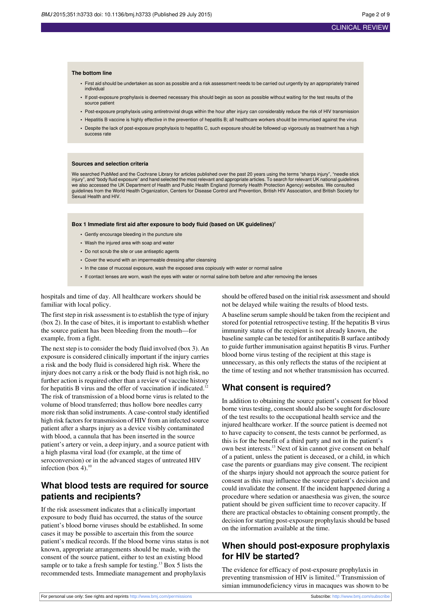#### **The bottom line**

- First aid should be undertaken as soon as possible and a risk assessment needs to be carried out urgently by an appropriately trained individual
- **•** If post-exposure prophylaxis is deemed necessary this should begin as soon as possible without waiting for the test results of the source patient
- **•** Post-exposure prophylaxis using antiretroviral drugs within the hour after injury can considerably reduce the risk of HIV transmission
- **•** Hepatitis B vaccine is highly effective in the prevention of hepatitis B; all healthcare workers should be immunised against the virus
- **•** Despite the lack of post-exposure prophylaxis to hepatitis C, such exposure should be followed up vigorously as treatment has a high success rate

#### **Sources and selection criteria**

We searched PubMed and the Cochrane Library for articles published over the past 20 years using the terms "sharps injury", "needle stick injury", and "body fluid exposure" and hand selected the most relevant and appropriate articles. To search for relevant UK national guidelines<br>we also accessed the UK Department of Health and Public Health England (formerl guidelines from the World Health Organization, Centers for Disease Control and Prevention, British HIV Association, and British Society for Sexual Health and HIV.

#### **Box 1 Immediate first aid after exposure to body fluid (based on UK guidelines)<sup>7</sup>**

- **•** Gently encourage bleeding in the puncture site
- **•** Wash the injured area with soap and water
- **•** Do not scrub the site or use antiseptic agents
- **•** Cover the wound with an impermeable dressing after cleansing
- **•** In the case of mucosal exposure, wash the exposed area copiously with water or normal saline
- **•** If contact lenses are worn, wash the eyes with water or normal saline both before and after removing the lenses

hospitals and time of day. All healthcare workers should be familiar with local policy.

The first step in risk assessment is to establish the type of injury (box 2). In the case of bites, it is important to establish whether the source patient has been bleeding from the mouth—for example, from a fight.

The next step is to consider the body fluid involved (box 3). An exposure is considered clinically important if the injury carries a risk and the body fluid is considered high risk. Where the injury does not carry a risk or the body fluid is not high risk, no further action is required other than a review of vaccine history for hepatitis B virus and the offer of vaccination if indicated.<sup>12</sup> The risk of transmission of a blood borne virus is related to the volume of blood transferred; thus hollow bore needles carry more risk than solid instruments. A case-control study identified high risk factors for transmission of HIV from an infected source patient after a sharps injury as a device visibly contaminated with blood, a cannula that has been inserted in the source patient's artery or vein, a deep injury, and a source patient with a high plasma viral load (for example, at the time of seroconversion) or in the advanced stages of untreated HIV infection (box 4).<sup>10</sup>

## **What blood tests are required for source patients and recipients?**

If the risk assessment indicates that a clinically important exposure to body fluid has occurred, the status of the source patient's blood borne viruses should be established. In some cases it may be possible to ascertain this from the source patient's medical records. If the blood borne virus status is not known, appropriate arrangements should be made, with the consent of the source patient, either to test an existing blood sample or to take a fresh sample for testing.<sup>13</sup> Box 5 lists the recommended tests. Immediate management and prophylaxis

should be offered based on the initial risk assessment and should not be delayed while waiting the results of blood tests.

A baseline serum sample should be taken from the recipient and stored for potential retrospective testing. If the hepatitis B virus immunity status of the recipient is not already known, the baseline sample can be tested for antihepatitis B surface antibody to guide further immunisation against hepatitis B virus. Further blood borne virus testing of the recipient at this stage is unnecessary, as this only reflects the status of the recipient at the time of testing and not whether transmission has occurred.

## **What consent is required?**

In addition to obtaining the source patient's consent for blood borne virus testing, consent should also be sought for disclosure of the test results to the occupational health service and the injured healthcare worker. If the source patient is deemed not to have capacity to consent, the tests cannot be performed, as this is for the benefit of a third party and not in the patient's own best interests.<sup>13</sup> Next of kin cannot give consent on behalf of a patient, unless the patient is deceased, or a child, in which case the parents or guardians may give consent. The recipient of the sharps injury should not approach the source patient for consent as this may influence the source patient's decision and could invalidate the consent. If the incident happened during a procedure where sedation or anaesthesia was given, the source patient should be given sufficient time to recover capacity. If there are practical obstacles to obtaining consent promptly, the decision for starting post-exposure prophylaxis should be based on the information available at the time.

## **When should post-exposure prophylaxis for HIV be started?**

The evidence for efficacy of post-exposure prophylaxis in preventing transmission of HIV is limited.<sup>15</sup> Transmission of simian immunodeficiency virus in macaques was shown to be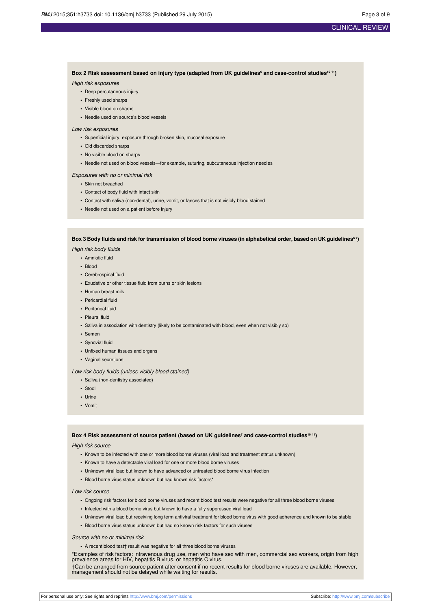### CLINICAL REVIEW

Box 2 Risk assessment based on injury type (adapted from UK guidelines<sup>6</sup> and case-control studies<sup>10 11</sup>)

#### High risk exposures

- **•** Deep percutaneous injury
- **•** Freshly used sharps
- **•** Visible blood on sharps
- **•** Needle used on source's blood vessels

#### Low risk exposures

- **•** Superficial injury, exposure through broken skin, mucosal exposure
- **•** Old discarded sharps
- **•** No visible blood on sharps
- **•** Needle not used on blood vessels—for example, suturing, subcutaneous injection needles

#### Exposures with no or minimal risk

- **•** Skin not breached
- **•** Contact of body fluid with intact skin
- **•** Contact with saliva (non-dental), urine, vomit, or faeces that is not visibly blood stained
- **•** Needle not used on a patient before injury

#### Box 3 Body fluids and risk for transmission of blood borne viruses (in alphabetical order, based on UK guidelines $^{\circ}$   $^{\gamma}$

High risk body fluids

- **•** Amniotic fluid
- **•** Blood
- **•** Cerebrospinal fluid
- **•** Exudative or other tissue fluid from burns or skin lesions
- **•** Human breast milk
- **•** Pericardial fluid
- **•** Peritoneal fluid
- **•** Pleural fluid
- **•** Saliva in association with dentistry (likely to be contaminated with blood, even when not visibly so)
- **•** Semen
- **•** Synovial fluid
- **•** Unfixed human tissues and organs
- **•** Vaginal secretions

#### Low risk body fluids (unless visibly blood stained)

- **•** Saliva (non-dentistry associated)
- **•** Stool
- **•** Urine
- **•** Vomit

#### **Box 4 Risk assessment of source patient (based on UK guidelines<sup>7</sup> and case-control studies<sup>10</sup> <sup>11</sup>)**

High risk source

- **•** Known to be infected with one or more blood borne viruses (viral load and treatment status unknown)
- **•** Known to have a detectable viral load for one or more blood borne viruses
- **•** Unknown viral load but known to have advanced or untreated blood borne virus infection
- **•** Blood borne virus status unknown but had known risk factors\*

#### Low risk source

- **•** Ongoing risk factors for blood borne viruses and recent blood test results were negative for all three blood borne viruses
- **•** Infected with a blood borne virus but known to have a fully suppressed viral load
- **•** Unknown viral load but receiving long term antiviral treatment for blood borne virus with good adherence and known to be stable
- **•** Blood borne virus status unknown but had no known risk factors for such viruses

#### Source with no or minimal risk

**•** A recent blood test† result was negative for all three blood borne viruses

\*Examples of risk factors: intravenous drug use, men who have sex with men, commercial sex workers, origin from high prevalence areas for HIV, hepatitis B virus, or hepatitis C virus.

†Can be arranged from source patient after consent if no recent results for blood borne viruses are available. However, management should not be delayed while waiting for results.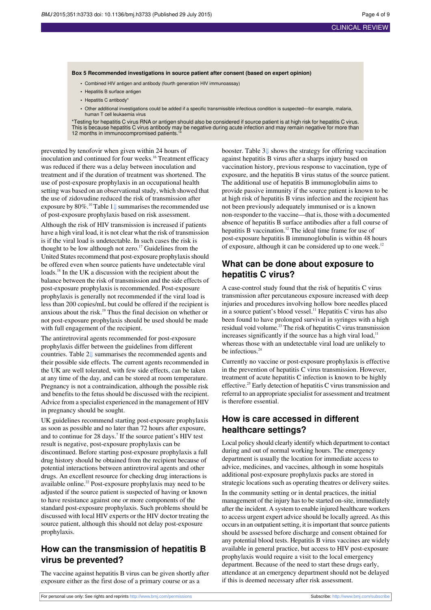#### **Box 5 Recommended investigations in source patient after consent (based on expert opinion)**

- **•** Combined HIV antigen and antibody (fourth generation HIV immunoassay)
- **•** Hepatitis B surface antigen
- **•** Hepatitis C antibody\*
- **•** Other additional investigations could be added if a specific transmissible infectious condition is suspected—for example, malaria, human T cell leukaemia virus

\*Testing for hepatitis C virus RNA or antigen should also be considered if source patient is at high risk for hepatitis C virus. This is because hepatitis C virus antibody may be negative during acute infection and may remain negative for more than<br>12 months in immunocompromised patients.<sup>14</sup>

prevented by tenofovir when given within 24 hours of inoculation and continued for four weeks.<sup>16</sup> Treatment efficacy was reduced if there was a delay between inoculation and treatment and if the duration of treatment was shortened. The use of post-exposure prophylaxis in an occupational health setting was based on an observational study, which showed that the use of zidovudine reduced the risk of transmission after exposure by  $80\%$ .<sup>10</sup> Table 1 $\downarrow$  summarises the recommended use of post-exposure prophylaxis based on risk assessment.

Although the risk of HIV transmission is increased if patients have a high viral load, it is not clear what the risk of transmission is if the viral load is undetectable. In such cases the risk is thought to be low although not zero.<sup>17</sup> Guidelines from the United States recommend that post-exposure prophylaxis should be offered even when source patients have undetectable viral loads.<sup>18</sup> In the UK a discussion with the recipient about the balance between the risk of transmission and the side effects of post-exposure prophylaxis is recommended. Post-exposure prophylaxis is generally not recommended if the viral load is less than 200 copies/mL but could be offered if the recipient is anxious about the risk.<sup>19</sup> Thus the final decision on whether or not post-exposure prophylaxis should be used should be made with full engagement of the recipient.

The antiretroviral agents recommended for post-exposure prophylaxis differ between the guidelines from different countries. Table 2[⇓](#page-6-0) summarises the recommended agents and their possible side effects. The current agents recommended in the UK are well tolerated, with few side effects, can be taken at any time of the day, and can be stored at room temperature. Pregnancy is not a contraindication, although the possible risk and benefits to the fetus should be discussed with the recipient. Advice from a specialist experienced in the management of HIV in pregnancy should be sought.

UK guidelines recommend starting post-exposure prophylaxis as soon as possible and no later than 72 hours after exposure, and to continue for 28 days.<sup>7</sup> If the source patient's HIV test result is negative, post-exposure prophylaxis can be discontinued. Before starting post-exposure prophylaxis a full drug history should be obtained from the recipient because of potential interactions between antiretroviral agents and other drugs. An excellent resource for checking drug interactions is available online.<sup>22</sup> Post-exposure prophylaxis may need to be adjusted if the source patient is suspected of having or known to have resistance against one or more components of the standard post-exposure prophylaxis. Such problems should be discussed with local HIV experts or the HIV doctor treating the source patient, although this should not delay post-exposure prophylaxis.

## **How can the transmission of hepatitis B virus be prevented?**

The vaccine against hepatitis B virus can be given shortly after exposure either as the first dose of a primary course or as a

booster. Table 3[⇓](#page-7-0) shows the strategy for offering vaccination against hepatitis B virus after a sharps injury based on vaccination history, previous response to vaccination, type of exposure, and the hepatitis B virus status of the source patient. The additional use of hepatitis B immunoglobulin aims to provide passive immunity if the source patient is known to be at high risk of hepatitis B virus infection and the recipient has not been previously adequately immunised or is a known non-responder to the vaccine—that is, those with a documented absence of hepatitis B surface antibodies after a full course of hepatitis B vaccination.<sup>12</sup> The ideal time frame for use of post-exposure hepatitis B immunoglobulin is within 48 hours of exposure, although it can be considered up to one week.<sup>12</sup>

## **What can be done about exposure to hepatitis C virus?**

A case-control study found that the risk of hepatitis C virus transmission after percutaneous exposure increased with deep injuries and procedures involving hollow bore needles placed in a source patient's blood vessel.<sup>11</sup> Hepatitis C virus has also been found to have prolonged survival in syringes with a high residual void volume.<sup>23</sup> The risk of hepatitis C virus transmission increases significantly if the source has a high viral load, $11$ whereas those with an undetectable viral load are unlikely to be infectious.<sup>24</sup>

Currently no vaccine or post-exposure prophylaxis is effective in the prevention of hepatitis C virus transmission. However, treatment of acute hepatitis C infection is known to be highly effective.<sup>25</sup> Early detection of hepatitis C virus transmission and referral to an appropriate specialist for assessment and treatment is therefore essential.

## **How is care accessed in different healthcare settings?**

Local policy should clearly identify which department to contact during and out of normal working hours. The emergency department is usually the location for immediate access to advice, medicines, and vaccines, although in some hospitals additional post-exposure prophylaxis packs are stored in strategic locations such as operating theatres or delivery suites. In the community setting or in dental practices, the initial management of the injury has to be started on-site, immediately after the incident. A system to enable injured healthcare workers to access urgent expert advice should be locally agreed. As this occurs in an outpatient setting, it is important that source patients should be assessed before discharge and consent obtained for any potential blood tests. Hepatitis B virus vaccines are widely available in general practice, but access to HIV post-exposure prophylaxis would require a visit to the local emergency department. Because of the need to start these drugs early, attendance at an emergency department should not be delayed if this is deemed necessary after risk assessment.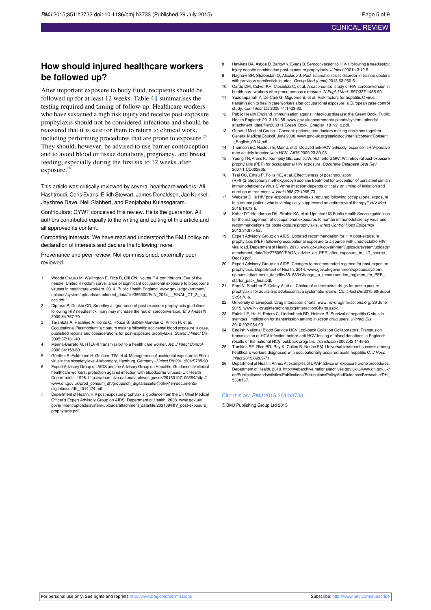## **How should injured healthcare workers be followed up?**

After important exposure to body fluid, recipients should be followed up for at least 12 weeks. Table 4[⇓](#page-8-0) summarises the testing required and timing of follow-up. Healthcare workers who have sustained a high risk injury and receive post-exposure prophylaxis should not be considered infectious and should be reassured that it is safe for them to return to clinical work, including performing procedures that are prone to exposure.<sup>26</sup> They should, however, be advised to use barrier contraception and to avoid blood or tissue donations, pregnancy, and breast feeding, especially during the first six to 12 weeks after exposure.<sup>18</sup>

This article was critically reviewed by several healthcare workers: Ali Hashtroudi, Ceris Evans, Eilidh Stewart, James Donaldson, Jan Kunkel, Jayshree Dave, Neil Slabbert, and Ranjababu Kulasegaram.

Contributors: CYWT conceived this review. He is the guarantor. All authors contributed equally to the writing and editing of this article and all approved its content.

Competing interests: We have read and understood the BMJ policy on declaration of interests and declare the following: none.

Provenance and peer review: Not commissioned; externally peer reviewed.

- Woode Owusu M, Wellington E, Rice B, Gill ON, Ncube F & contributors. Eye of the needle. United Kingdom surveillance of significant occupational exposure to bloodborne viruses in healthcare workers. 2014. Public Health England. [www.gov.uk/government/](http://www.gov.uk/government/uploads/system/uploads/attachment_data/file/385300/EoN_2014_-_FINAL_CT_3_sig_occ.pdf) [uploads/system/uploads/attachment\\_data/file/385300/EoN\\_2014\\_-\\_FINAL\\_CT\\_3\\_sig\\_](http://www.gov.uk/government/uploads/system/uploads/attachment_data/file/385300/EoN_2014_-_FINAL_CT_3_sig_occ.pdf) [occ.pdf](http://www.gov.uk/government/uploads/system/uploads/attachment_data/file/385300/EoN_2014_-_FINAL_CT_3_sig_occ.pdf).
- 2 Diprose P, Deakin CD, Smedley J. Ignorance of post-exposure prophylaxis guidelines following HIV needlestick injury may increase the risk of seroconversion. Br J Anaesth 2000;84:767-70.
- 3 Tarantola A, Rachline A, Konto C, Houzé S, Sabah-Mondan C, Vrillon H, et al. Occupational Plasmodium falciparum malaria following accidental blood exposure: a case, published reports and considerations for post-exposure prophylaxis. Scand J Infect Dis 2005;37:131-40.
- 4 Menna-Barreto M. HTLV-II transmission to a health care worker. Am J Infect Control 2006;34:158-60.
- 5 Günther S, Feldmann H, Geisbert TW, et al. Management of accidental exposure to Ebola virus in the biosafety level 4 laboratory, Hamburg, Germany. J Infect Dis 2011;204:S785-90.
- 6 Expert Advisory Group on AIDS and the Advisory Group on Hepatitis. Guidance for clinical healthcare workers: protection against infection with bloodborne viruses. UK Health Departments. 1998. [http://webarchive.nationalarchives.gov.uk/20130107105354/http://](http://webarchive.nationalarchives.gov.uk/20130107105354/http://www.dh.gov.uk/prod_consum_dh/groups/dh_digitalassets/@dh/@en/documents/digitalasset/dh_4014474.pdf) [www.dh.gov.uk/prod\\_consum\\_dh/groups/dh\\_digitalassets/@dh/@en/documents/](http://webarchive.nationalarchives.gov.uk/20130107105354/http://www.dh.gov.uk/prod_consum_dh/groups/dh_digitalassets/@dh/@en/documents/digitalasset/dh_4014474.pdf) [digitalasset/dh\\_4014474.pdf](http://webarchive.nationalarchives.gov.uk/20130107105354/http://www.dh.gov.uk/prod_consum_dh/groups/dh_digitalassets/@dh/@en/documents/digitalasset/dh_4014474.pdf).
- Department of Health. HIV post-exposure prophylaxis: guidance from the UK Chief Medical Officer's Expert Advisory Group on AIDS. Department of Health. 2008. [www.gov.uk/](http://www.gov.uk/government/uploads/system/uploads/attachment_data/file/203139/HIV_post-exposure_prophylaxis.pdf) [government/uploads/system/uploads/attachment\\_data/file/203139/HIV\\_post-exposure\\_](http://www.gov.uk/government/uploads/system/uploads/attachment_data/file/203139/HIV_post-exposure_prophylaxis.pdf) [prophylaxis.pdf.](http://www.gov.uk/government/uploads/system/uploads/attachment_data/file/203139/HIV_post-exposure_prophylaxis.pdf)
- 8 Hawkins DA, Asboe D, Barlow K, Evans B. Seroconversion to HIV-1 following a needlestick injury despite combination post-exposure prophylaxis. J Infect 2001;43:12-5.
- Naghavi SH, Shabestari O, Alcolado J. Post-traumatic stress disorder in trainee doctors with previous needlestick injuries. Occup Med (Lond) 2013;63:260-5.
- 10 Cardo DM, Culver KH, Ciesielski C, et al. A case-control study of HIV seroconversion in health-care workers after percutaneous exposure. N Engl J Med 1997;337:1485-90.
- 11 Yazdanpanah Y, De Carli G, Migueres B, et al. Risk factors for hepatitis C virus transmission to health care workers after occupational exposure: a European case-control study. Clin Infect Dis 2005;41:1423-30.
- 12 Public Health England. Immunisation against infectious disease: the Green Book. Public Health England; 2013:161-85. [www.gov.uk/government/uploads/system/uploads/](http://www.gov.uk/government/uploads/system/uploads/attachment_data/file/263311/Green_Book_Chapter_18_v2_0.pdf) [attachment\\_data/file/263311/Green\\_Book\\_Chapter\\_18\\_v2\\_0.pdf](http://www.gov.uk/government/uploads/system/uploads/attachment_data/file/263311/Green_Book_Chapter_18_v2_0.pdf).
- 13 General Medical Council. Consent: patients and doctors making decisions together. General Medical Council. June 2008. [www.gmc-uk.org/static/documents/content/Consent\\_](http://www.gmc-uk.org/static/documents/content/Consent_-_English_0914.pdf) English\_0914.pdf.
- 14 Thomson EC, Nastouli E, Main J, et al. Delayed anti-HCV antibody response in HIV-positive men acutely infected with HCV. AIDS 2009;23:89-93.
- Young TN, Arens FJ, Kennedy GE, Laurie JW, Rutherford GW. Antiretroviral post-exposure prophylaxis (PEP) for occupational HIV exposure. Cochrane Database Syst Rev 2007;1:CD002835.
- 16 Tsai CC, Emau P, Follis KE, et al. Effectiveness of postinoculation (R)-9-(2-phosphonylmethoxypropyl) adenine treatment for prevention of persistent simian immunodeficiency virus SIVmne infection depends critically on timing of initiation and duration of treatment. J Virol 1998;72:4265-73.
- Webster D. Is HIV post-exposure prophylaxis required following occupational exposure to a source patient who is virologically suppressed on antiretroviral therapy? HIV Med 2015;16:73-5.
- 18 Kuhar DT, Henderson DK, Struble KA, et al. Updated US Public Health Service guidelines for the management of occupational exposures to human immunodeficiency virus and recommendations for postexposure prophylaxis. Infect Control Hosp Epidemiol 2013;34:875-92.
- 19 Expert Advisory Group on AIDS. Updated recommendation for HIV post-exposure prophylaxis (PEP) following occupational exposure to a source with undetectable HIV viral load. Department of Health. 2013. [www.gov.uk/government/uploads/system/uploads/](http://www.gov.uk/government/uploads/system/uploads/attachment_data/file/275060/EAGA_advice_on_PEP_after_exposure_to_UD_source_Dec13.pdf) [attachment\\_data/file/275060/EAGA\\_advice\\_on\\_PEP\\_after\\_exposure\\_to\\_UD\\_source\\_](http://www.gov.uk/government/uploads/system/uploads/attachment_data/file/275060/EAGA_advice_on_PEP_after_exposure_to_UD_source_Dec13.pdf) [Dec13.pdf](http://www.gov.uk/government/uploads/system/uploads/attachment_data/file/275060/EAGA_advice_on_PEP_after_exposure_to_UD_source_Dec13.pdf).
- 20 Expert Advisory Group on AIDS. Changes to recommended regimen for post-exposure prophylaxis. Department of Health. 2014. www.gov.uk/government/uploads/system [uploads/attachment\\_data/file/351633/Change\\_to\\_recommended\\_regimen\\_for\\_PEP\\_](http://www.gov.uk/government/uploads/system/uploads/attachment_data/file/351633/Change_to_recommended_regimen_for_PEP_starter_pack_final.pdf) [starter\\_pack\\_final.pdf.](http://www.gov.uk/government/uploads/system/uploads/attachment_data/file/351633/Change_to_recommended_regimen_for_PEP_starter_pack_final.pdf)
- 21 Ford N, Shubber Z, Calmy A, et al. Choice of antiretroviral drugs for postexposure prophylaxis for adults and adolescents: a systematic review. Clin Infect Dis 2015;60(Suppl  $3$ :S<sub>170-6</sub>.
- 22 University of Liverpool. Drug interaction charts. [www.hiv-druginteractions.org.](http://www.hiv-druginteractions.org) 29 June 2015. [www.hiv-druginteractions.org/InteractionCharts.aspx.](http://www.hiv-druginteractions.org/InteractionCharts.aspx)
- 23 Paintsil E, He H, Peters C, Lindenbach BD, Heimer R. Survival of hepatitis C virus in syringes: implication for transmission among injection drug users. J Infect Dis 2010;202:984-90.
- 24 English National Blood Service HCV Lookback Collation Collaborators. Transfusion transmission of HCV infection before anti-HCV testing of blood donations in England: results of the national HCV lookback program. Transfusion 2002;42:1146-53.
- Tomkins SE, Rice BD, Roy K, Cullen B, Ncube FM. Universal treatment success among healthcare workers diagnosed with occupationally acquired acute hepatitis C. J Hosp Infect 2015;89:69-71.
- 26 Department of Health. Annex A: examples of UKAP advice on exposure prone procedures. Department of Health. 2010. [http://webarchive.nationalarchives.gov.uk/±/www.dh.gov.uk/](http://webarchive.nationalarchives.gov.uk/�/www.dh.gov.uk/en/Publicationsandstatistics/Publications/PublicationsPolicyAndGuidance/Browsable/DH_5368137) [en/Publicationsandstatistics/Publications/PublicationsPolicyAndGuidance/Browsable/DH\\_](http://webarchive.nationalarchives.gov.uk/�/www.dh.gov.uk/en/Publicationsandstatistics/Publications/PublicationsPolicyAndGuidance/Browsable/DH_5368137) [5368137.](http://webarchive.nationalarchives.gov.uk/�/www.dh.gov.uk/en/Publicationsandstatistics/Publications/PublicationsPolicyAndGuidance/Browsable/DH_5368137)

#### Cite this as: BMJ 2015;351:h3733

© BMJ Publishing Group Ltd 2015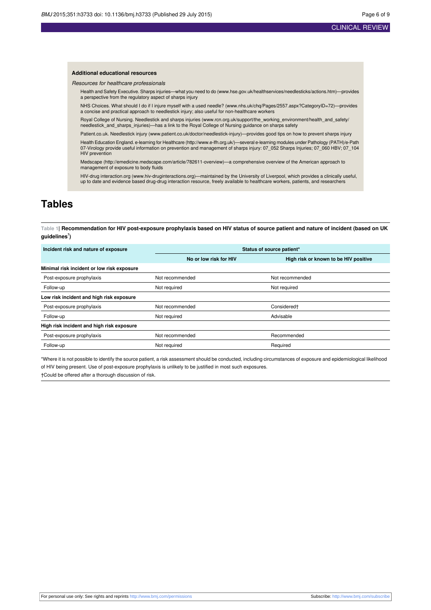#### **Additional educational resources**

Resources for healthcare professionals

Health and Safety Executive. Sharps injuries—what you need to do [\(www.hse.gov.uk/healthservices/needlesticks/actions.htm](http://www.hse.gov.uk/healthservices/needlesticks/actions.htm))—provides a perspective from the regulatory aspect of sharps injury

NHS Choices. What should I do if I injure myself with a used needle? ([www.nhs.uk/chq/Pages/2557.aspx?CategoryID=72](http://www.nhs.uk/chq/Pages/2557.aspx?CategoryID=72))—provides a concise and practical approach to needlestick injury; also useful for non-healthcare workers

Royal College of Nursing. Needlestick and sharps injuries ([www.rcn.org.uk/support/the\\_working\\_environment/health\\_and\\_safety/](http://www.rcn.org.uk/support/the_working_environment/health_and_safety/needlestick_and_sharps_injuries) [needlestick\\_and\\_sharps\\_injuries\)](http://www.rcn.org.uk/support/the_working_environment/health_and_safety/needlestick_and_sharps_injuries)—has a link to the Royal College of Nursing guidance on sharps safety

Patient.co.uk. Needlestick injury [\(www.patient.co.uk/doctor/needlestick-injury](http://www.patient.co.uk/doctor/needlestick-injury))—provides good tips on how to prevent sharps injury

Health Education England. e-learning for Healthcare [\(http://www.e-lfh.org.uk/\)](http://www.e-lfh.org.uk/)—several e-learning modules under Pathology (PATH)/e-Path 07-Virology provide useful information on prevention and management of sharps injury: 07\_052 Sharps Injuries; 07\_060 HBV; 07\_104 HIV prevention

Medscape [\(http://emedicine.medscape.com/article/782611-overview\)](http://emedicine.medscape.com/article/782611-overview)—a comprehensive overview of the American approach to management of exposure to body fluids

HIV-drug interaction.org [\(www.hiv-druginteractions.org](http://www.hiv-druginteractions.org/))—maintained by the University of Liverpool, which provides a clinically useful, up to date and evidence based drug-drug interaction resource, freely available to healthcare workers, patients, and researchers

## <span id="page-5-0"></span>**Tables**

Table 1 Recommendation for HIV post-exposure prophylaxis based on HIV status of source patient and nature of incident (based on UK **guidelines<sup>7</sup> )**

| Incident risk and nature of exposure       | Status of source patient*    |                                       |  |
|--------------------------------------------|------------------------------|---------------------------------------|--|
|                                            | No or low risk for HIV       | High risk or known to be HIV positive |  |
| Minimal risk incident or low risk exposure |                              |                                       |  |
| Post-exposure prophylaxis                  | Not recommended              | Not recommended                       |  |
| Follow-up                                  | Not required<br>Not required |                                       |  |
| Low risk incident and high risk exposure   |                              |                                       |  |
| Post-exposure prophylaxis                  | Not recommended              | Considered <sup>+</sup>               |  |
| Follow-up                                  | Not required                 | Advisable                             |  |
| High risk incident and high risk exposure  |                              |                                       |  |
| Post-exposure prophylaxis                  | Not recommended              | Recommended                           |  |
| Follow-up                                  | Not required                 | Required                              |  |

\*Where it is not possible to identify the source patient, a risk assessment should be conducted, including circumstances of exposure and epidemiological likelihood of HIV being present. Use of post-exposure prophylaxis is unlikely to be justified in most such exposures.

†Could be offered after a thorough discussion of risk.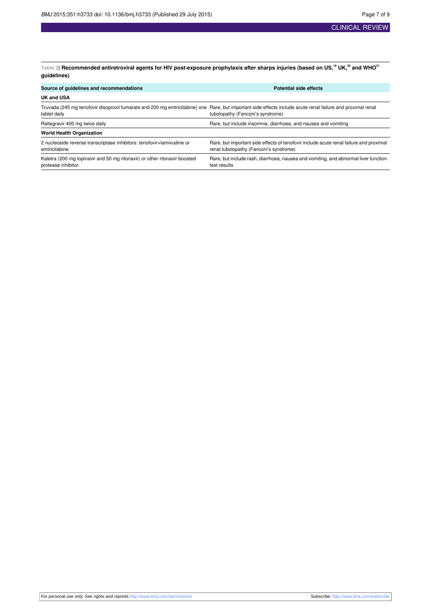<span id="page-6-0"></span>Table 2| Recommended antiretroviral agents for HIV post-exposure prophylaxis after sharps injuries (based on US,<sup>18</sup> UK,<sup>20</sup> and WHO<sup>21</sup> **guidelines)**

| Source of guidelines and recommendations                                                        | <b>Potential side effects</b>                                                                                                                                                                   |  |  |
|-------------------------------------------------------------------------------------------------|-------------------------------------------------------------------------------------------------------------------------------------------------------------------------------------------------|--|--|
| <b>UK and USA</b>                                                                               |                                                                                                                                                                                                 |  |  |
| tablet daily                                                                                    | Truvada (245 mg tenofovir disoproxil fumarate and 200 mg emtricitabine) one Rare, but important side effects include acute renal failure and proximal renal<br>tubolopathy (Fanconi's syndrome) |  |  |
| Raltegravir 400 mg twice daily                                                                  | Rare, but include insomnia, diarrhoea, and nausea and vomiting                                                                                                                                  |  |  |
| <b>World Health Organization</b>                                                                |                                                                                                                                                                                                 |  |  |
| 2 nucleoside reverse transcriptase inhibitors: tenofovir+lamivudine or<br>emtricitabine         | Rare, but important side effects of tenofovir include acute renal failure and proximal<br>renal tubolopathy (Fanconi's syndrome)                                                                |  |  |
| Kaletra (200 mg lopinavir and 50 mg ritonavir) or other ritonavir boosted<br>protease inhibitor | Rare, but include rash, diarrhoea, nausea and vomiting, and abnormal liver function<br>test results                                                                                             |  |  |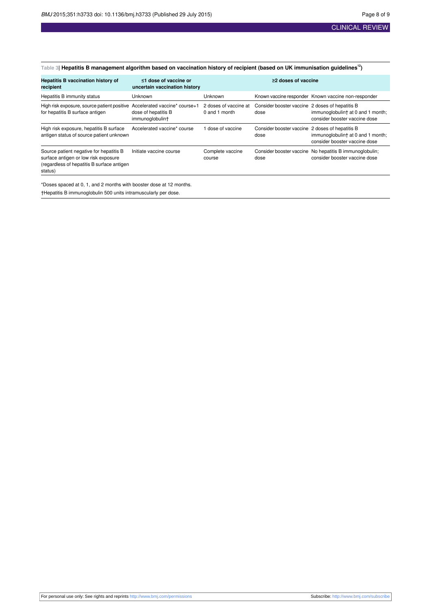#### <span id="page-7-0"></span>Table 3| Hepatitis B management algorithm based on vaccination history of recipient (based on UK immunisation guidelines<sup>12</sup>)

| <b>Hepatitis B vaccination history of</b><br>$\leq$ 1 dose of vaccine or<br>recipient<br>uncertain vaccination history                   |                                                                         | $\geq$ 2 doses of vaccine              |                                                         |                                                                                          |
|------------------------------------------------------------------------------------------------------------------------------------------|-------------------------------------------------------------------------|----------------------------------------|---------------------------------------------------------|------------------------------------------------------------------------------------------|
| Hepatitis B immunity status                                                                                                              | <b>Unknown</b>                                                          | <b>Unknown</b>                         |                                                         | Known vaccine responder Known vaccine non-responder                                      |
| High risk exposure, source patient positive<br>for hepatitis B surface antigen                                                           | Accelerated vaccine* course+1<br>dose of hepatitis B<br>immunoqlobulint | 2 doses of vaccine at<br>0 and 1 month | Consider booster vaccine 2 doses of hepatitis B<br>dose | immunoglobulint at 0 and 1 month;<br>consider booster vaccine dose                       |
| High risk exposure, hepatitis B surface<br>antigen status of source patient unknown                                                      | Accelerated vaccine* course                                             | dose of vaccine                        | Consider booster vaccine 2 doses of hepatitis B<br>dose | immunoglobulint at 0 and 1 month;<br>consider booster vaccine dose                       |
| Source patient negative for hepatitis B<br>surface antigen or low risk exposure<br>(regardless of hepatitis B surface antigen<br>status) | Initiate vaccine course                                                 | Complete vaccine<br>course             | dose                                                    | Consider booster vaccine No hepatitis B immunoglobulin;<br>consider booster vaccine dose |

\*Doses spaced at 0, 1, and 2 months with booster dose at 12 months. †Hepatitis B immunoglobulin 500 units intramuscularly per dose.